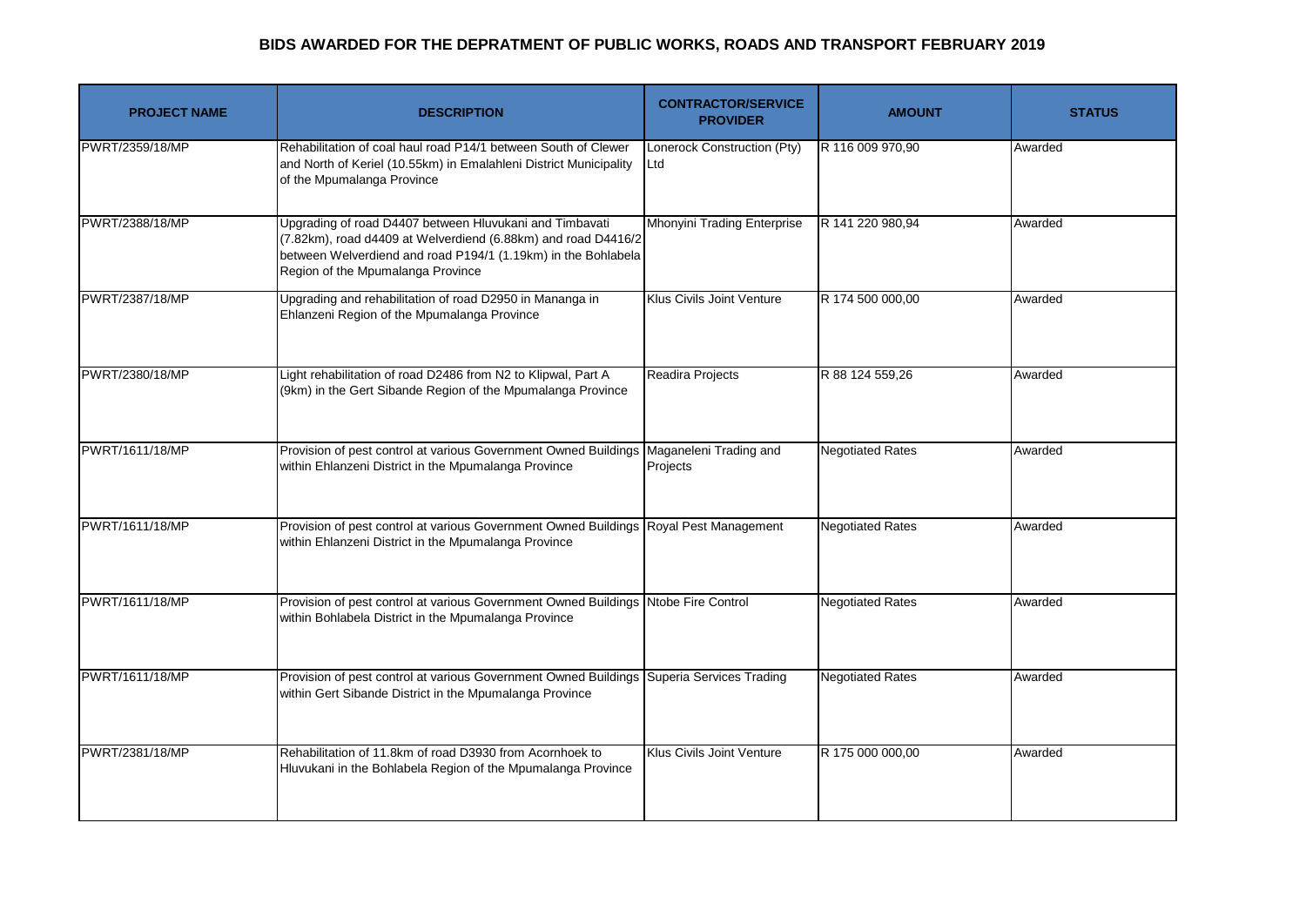| <b>PROJECT NAME</b> | <b>DESCRIPTION</b>                                                                                                                                                                                                             | <b>CONTRACTOR/SERVICE</b><br><b>PROVIDER</b> | <b>AMOUNT</b>           | <b>STATUS</b> |
|---------------------|--------------------------------------------------------------------------------------------------------------------------------------------------------------------------------------------------------------------------------|----------------------------------------------|-------------------------|---------------|
| PWRT/2359/18/MP     | Rehabilitation of coal haul road P14/1 between South of Clewer<br>and North of Keriel (10.55km) in Emalahleni District Municipality<br>of the Mpumalanga Province                                                              | Lonerock Construction (Pty)<br>Ltd           | R 116 009 970,90        | Awarded       |
| PWRT/2388/18/MP     | Upgrading of road D4407 between Hluvukani and Timbavati<br>(7.82km), road d4409 at Welverdiend (6.88km) and road D4416/2<br>between Welverdiend and road P194/1 (1.19km) in the Bohlabela<br>Region of the Mpumalanga Province | <b>Mhonyini Trading Enterprise</b>           | R 141 220 980,94        | Awarded       |
| PWRT/2387/18/MP     | Upgrading and rehabilitation of road D2950 in Mananga in<br>Ehlanzeni Region of the Mpumalanga Province                                                                                                                        | Klus Civils Joint Venture                    | R 174 500 000,00        | Awarded       |
| PWRT/2380/18/MP     | Light rehabilitation of road D2486 from N2 to Klipwal, Part A<br>(9km) in the Gert Sibande Region of the Mpumalanga Province                                                                                                   | Readira Projects                             | R 88 124 559,26         | Awarded       |
| PWRT/1611/18/MP     | Provision of pest control at various Government Owned Buildings<br>within Ehlanzeni District in the Mpumalanga Province                                                                                                        | Maganeleni Trading and<br>Projects           | <b>Negotiated Rates</b> | Awarded       |
| PWRT/1611/18/MP     | Provision of pest control at various Government Owned Buildings Royal Pest Management<br>within Ehlanzeni District in the Mpumalanga Province                                                                                  |                                              | <b>Negotiated Rates</b> | Awarded       |
| PWRT/1611/18/MP     | Provision of pest control at various Government Owned Buildings Ntobe Fire Control<br>within Bohlabela District in the Mpumalanga Province                                                                                     |                                              | <b>Negotiated Rates</b> | Awarded       |
| PWRT/1611/18/MP     | Provision of pest control at various Government Owned Buildings Superia Services Trading<br>within Gert Sibande District in the Mpumalanga Province                                                                            |                                              | <b>Negotiated Rates</b> | Awarded       |
| PWRT/2381/18/MP     | Rehabilitation of 11.8km of road D3930 from Acornhoek to<br>Hluvukani in the Bohlabela Region of the Mpumalanga Province                                                                                                       | Klus Civils Joint Venture                    | R 175 000 000,00        | Awarded       |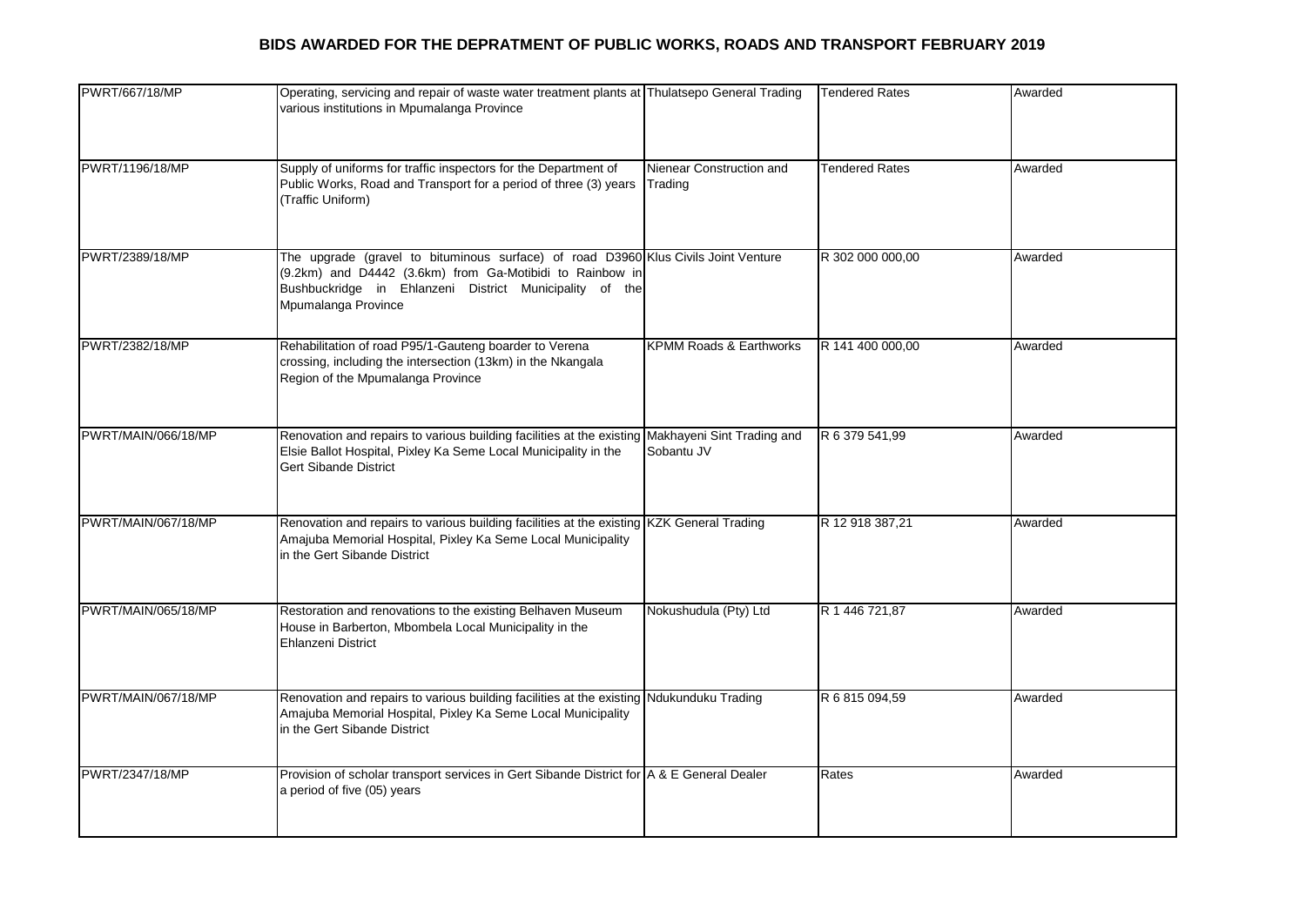| PWRT/667/18/MP      | Operating, servicing and repair of waste water treatment plants at Thulatsepo General Trading<br>various institutions in Mpumalanga Province                                                                                     |                                     | <b>Tendered Rates</b> | Awarded |
|---------------------|----------------------------------------------------------------------------------------------------------------------------------------------------------------------------------------------------------------------------------|-------------------------------------|-----------------------|---------|
| PWRT/1196/18/MP     | Supply of uniforms for traffic inspectors for the Department of<br>Public Works, Road and Transport for a period of three (3) years<br>(Traffic Uniform)                                                                         | Nienear Construction and<br>Trading | <b>Tendered Rates</b> | Awarded |
| PWRT/2389/18/MP     | The upgrade (gravel to bituminous surface) of road D3960 Klus Civils Joint Venture<br>(9.2km) and D4442 (3.6km) from Ga-Motibidi to Rainbow in<br>Bushbuckridge in Ehlanzeni District Municipality of the<br>Mpumalanga Province |                                     | R 302 000 000,00      | Awarded |
| PWRT/2382/18/MP     | Rehabilitation of road P95/1-Gauteng boarder to Verena<br>crossing, including the intersection (13km) in the Nkangala<br>Region of the Mpumalanga Province                                                                       | <b>KPMM Roads &amp; Earthworks</b>  | R 141 400 000,00      | Awarded |
| PWRT/MAIN/066/18/MP | Renovation and repairs to various building facilities at the existing Makhayeni Sint Trading and<br>Elsie Ballot Hospital, Pixley Ka Seme Local Municipality in the<br><b>Gert Sibande District</b>                              | Sobantu JV                          | R 6 379 541,99        | Awarded |
| PWRT/MAIN/067/18/MP | Renovation and repairs to various building facilities at the existing KZK General Trading<br>Amajuba Memorial Hospital, Pixley Ka Seme Local Municipality<br>in the Gert Sibande District                                        |                                     | R 12 918 387,21       | Awarded |
| PWRT/MAIN/065/18/MP | Restoration and renovations to the existing Belhaven Museum<br>House in Barberton, Mbombela Local Municipality in the<br><b>Ehlanzeni District</b>                                                                               | Nokushudula (Pty) Ltd               | R 1 446 721,87        | Awarded |
| PWRT/MAIN/067/18/MP | Renovation and repairs to various building facilities at the existing Ndukunduku Trading<br>Amajuba Memorial Hospital, Pixley Ka Seme Local Municipality<br>in the Gert Sibande District                                         |                                     | R 6 815 094,59        | Awarded |
| PWRT/2347/18/MP     | Provision of scholar transport services in Gert Sibande District for A & E General Dealer<br>a period of five (05) years                                                                                                         |                                     | Rates                 | Awarded |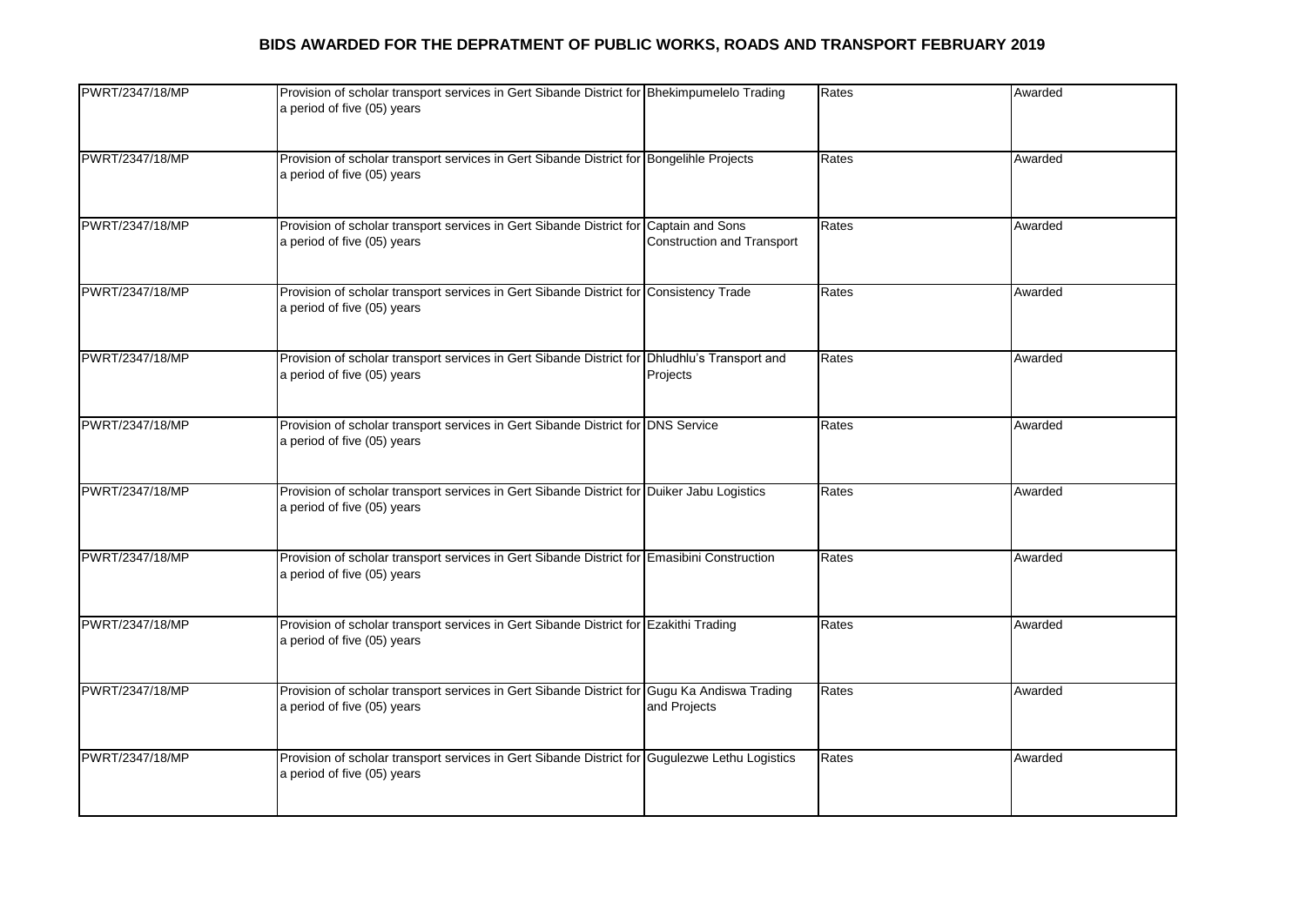| PWRT/2347/18/MP | Provision of scholar transport services in Gert Sibande District for Bhekimpumelelo Trading<br>a period of five (05) years    |                                                              | Rates | Awarded |
|-----------------|-------------------------------------------------------------------------------------------------------------------------------|--------------------------------------------------------------|-------|---------|
| PWRT/2347/18/MP | Provision of scholar transport services in Gert Sibande District for Bongelihle Projects<br>a period of five (05) years       |                                                              | Rates | Awarded |
| PWRT/2347/18/MP | Provision of scholar transport services in Gert Sibande District for<br>a period of five (05) years                           | <b>Captain and Sons</b><br><b>Construction and Transport</b> | Rates | Awarded |
| PWRT/2347/18/MP | Provision of scholar transport services in Gert Sibande District for Consistency Trade<br>a period of five (05) years         |                                                              | Rates | Awarded |
| PWRT/2347/18/MP | Provision of scholar transport services in Gert Sibande District for Dhludhlu's Transport and<br>a period of five (05) years  | Projects                                                     | Rates | Awarded |
| PWRT/2347/18/MP | Provision of scholar transport services in Gert Sibande District for DNS Service<br>a period of five (05) years               |                                                              | Rates | Awarded |
| PWRT/2347/18/MP | Provision of scholar transport services in Gert Sibande District for Duiker Jabu Logistics<br>a period of five (05) years     |                                                              | Rates | Awarded |
| PWRT/2347/18/MP | Provision of scholar transport services in Gert Sibande District for Emasibini Construction<br>a period of five (05) years    |                                                              | Rates | Awarded |
| PWRT/2347/18/MP | Provision of scholar transport services in Gert Sibande District for Ezakithi Trading<br>a period of five (05) years          |                                                              | Rates | Awarded |
| PWRT/2347/18/MP | Provision of scholar transport services in Gert Sibande District for Gugu Ka Andiswa Trading<br>a period of five (05) years   | and Projects                                                 | Rates | Awarded |
| PWRT/2347/18/MP | Provision of scholar transport services in Gert Sibande District for Gugulezwe Lethu Logistics<br>a period of five (05) years |                                                              | Rates | Awarded |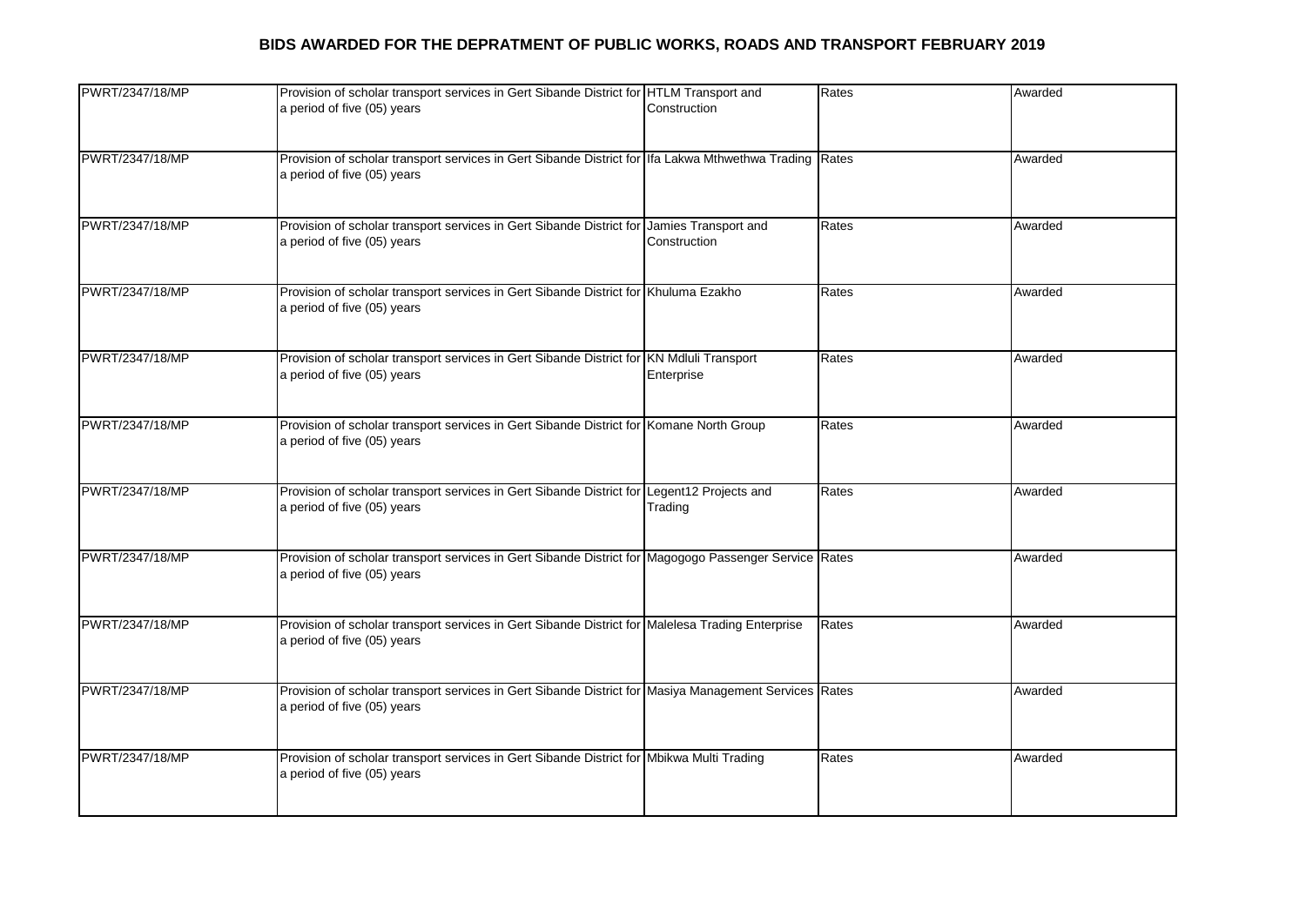| PWRT/2347/18/MP | Provision of scholar transport services in Gert Sibande District for HTLM Transport and<br>a period of five (05) years                | Construction | Rates | Awarded |
|-----------------|---------------------------------------------------------------------------------------------------------------------------------------|--------------|-------|---------|
| PWRT/2347/18/MP | Provision of scholar transport services in Gert Sibande District for Ifa Lakwa Mthwethwa Trading Rates<br>a period of five (05) years |              |       | Awarded |
| PWRT/2347/18/MP | Provision of scholar transport services in Gert Sibande District for Jamies Transport and<br>a period of five (05) years              | Construction | Rates | Awarded |
| PWRT/2347/18/MP | Provision of scholar transport services in Gert Sibande District for Khuluma Ezakho<br>a period of five (05) years                    |              | Rates | Awarded |
| PWRT/2347/18/MP | Provision of scholar transport services in Gert Sibande District for KN Mdluli Transport<br>a period of five (05) years               | Enterprise   | Rates | Awarded |
| PWRT/2347/18/MP | Provision of scholar transport services in Gert Sibande District for Komane North Group<br>a period of five (05) years                |              | Rates | Awarded |
| PWRT/2347/18/MP | Provision of scholar transport services in Gert Sibande District for Legent12 Projects and<br>a period of five (05) years             | Trading      | Rates | Awarded |
| PWRT/2347/18/MP | Provision of scholar transport services in Gert Sibande District for Magogogo Passenger Service Rates<br>a period of five (05) years  |              |       | Awarded |
| PWRT/2347/18/MP | Provision of scholar transport services in Gert Sibande District for Malelesa Trading Enterprise<br>a period of five (05) years       |              | Rates | Awarded |
| PWRT/2347/18/MP | Provision of scholar transport services in Gert Sibande District for Masiya Management Services Rates<br>a period of five (05) years  |              |       | Awarded |
| PWRT/2347/18/MP | Provision of scholar transport services in Gert Sibande District for Mbikwa Multi Trading<br>a period of five (05) years              |              | Rates | Awarded |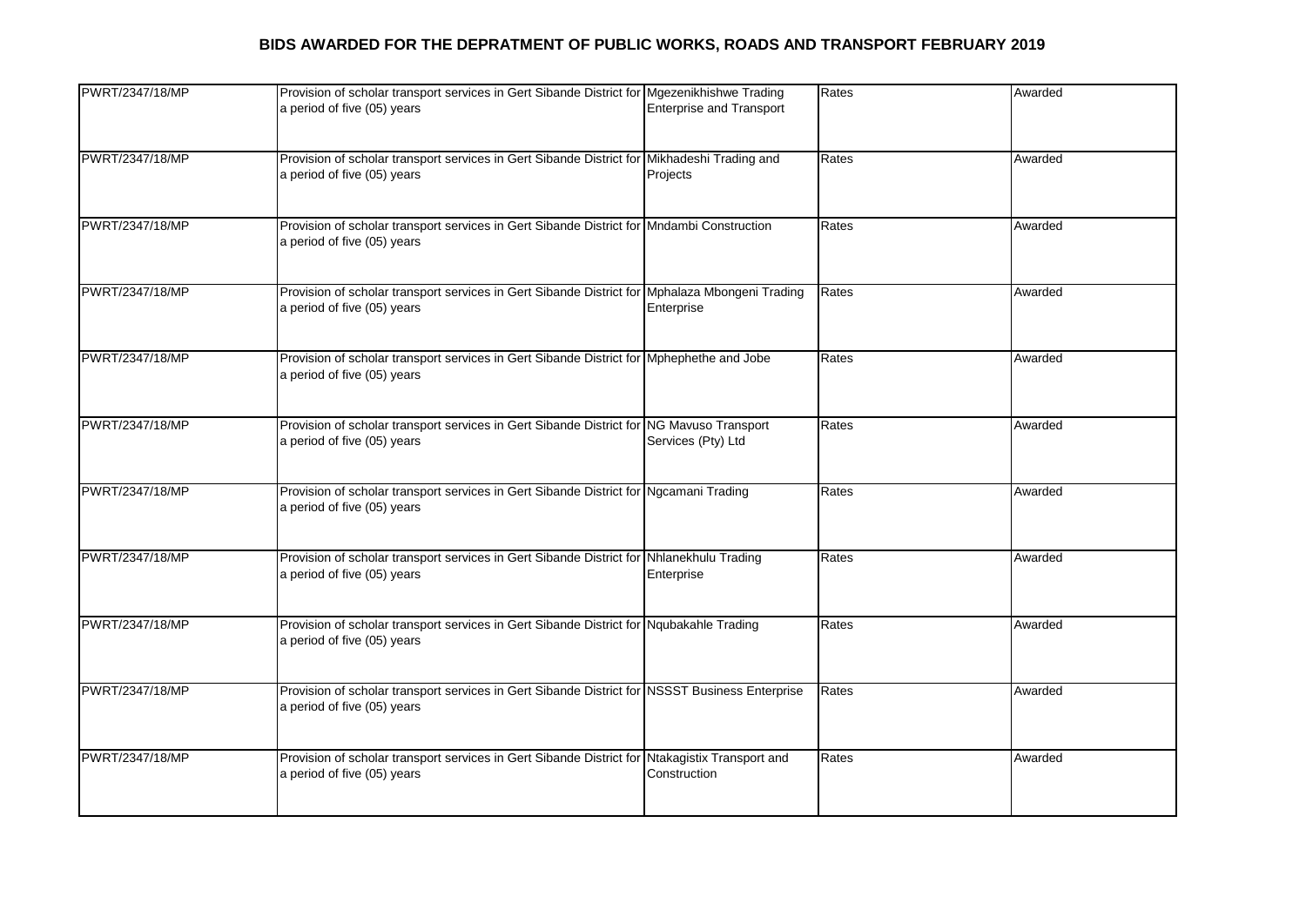| PWRT/2347/18/MP | Provision of scholar transport services in Gert Sibande District for Mgezenikhishwe Trading<br>a period of five (05) years    | <b>Enterprise and Transport</b> | Rates | Awarded |
|-----------------|-------------------------------------------------------------------------------------------------------------------------------|---------------------------------|-------|---------|
| PWRT/2347/18/MP | Provision of scholar transport services in Gert Sibande District for Mikhadeshi Trading and<br>a period of five (05) years    | Projects                        | Rates | Awarded |
| PWRT/2347/18/MP | Provision of scholar transport services in Gert Sibande District for Mndambi Construction<br>a period of five (05) years      |                                 | Rates | Awarded |
| PWRT/2347/18/MP | Provision of scholar transport services in Gert Sibande District for Mphalaza Mbongeni Trading<br>a period of five (05) years | Enterprise                      | Rates | Awarded |
| PWRT/2347/18/MP | Provision of scholar transport services in Gert Sibande District for Mphephethe and Jobe<br>a period of five (05) years       |                                 | Rates | Awarded |
| PWRT/2347/18/MP | Provision of scholar transport services in Gert Sibande District for NG Mavuso Transport<br>a period of five (05) years       | Services (Pty) Ltd              | Rates | Awarded |
| PWRT/2347/18/MP | Provision of scholar transport services in Gert Sibande District for Ngcamani Trading<br>a period of five (05) years          |                                 | Rates | Awarded |
| PWRT/2347/18/MP | Provision of scholar transport services in Gert Sibande District for Nhlanekhulu Trading<br>a period of five (05) years       | Enterprise                      | Rates | Awarded |
| PWRT/2347/18/MP | Provision of scholar transport services in Gert Sibande District for Nqubakahle Trading<br>a period of five (05) years        |                                 | Rates | Awarded |
| PWRT/2347/18/MP | Provision of scholar transport services in Gert Sibande District for NSSST Business Enterprise<br>a period of five (05) years |                                 | Rates | Awarded |
| PWRT/2347/18/MP | Provision of scholar transport services in Gert Sibande District for Ntakagistix Transport and<br>a period of five (05) years | Construction                    | Rates | Awarded |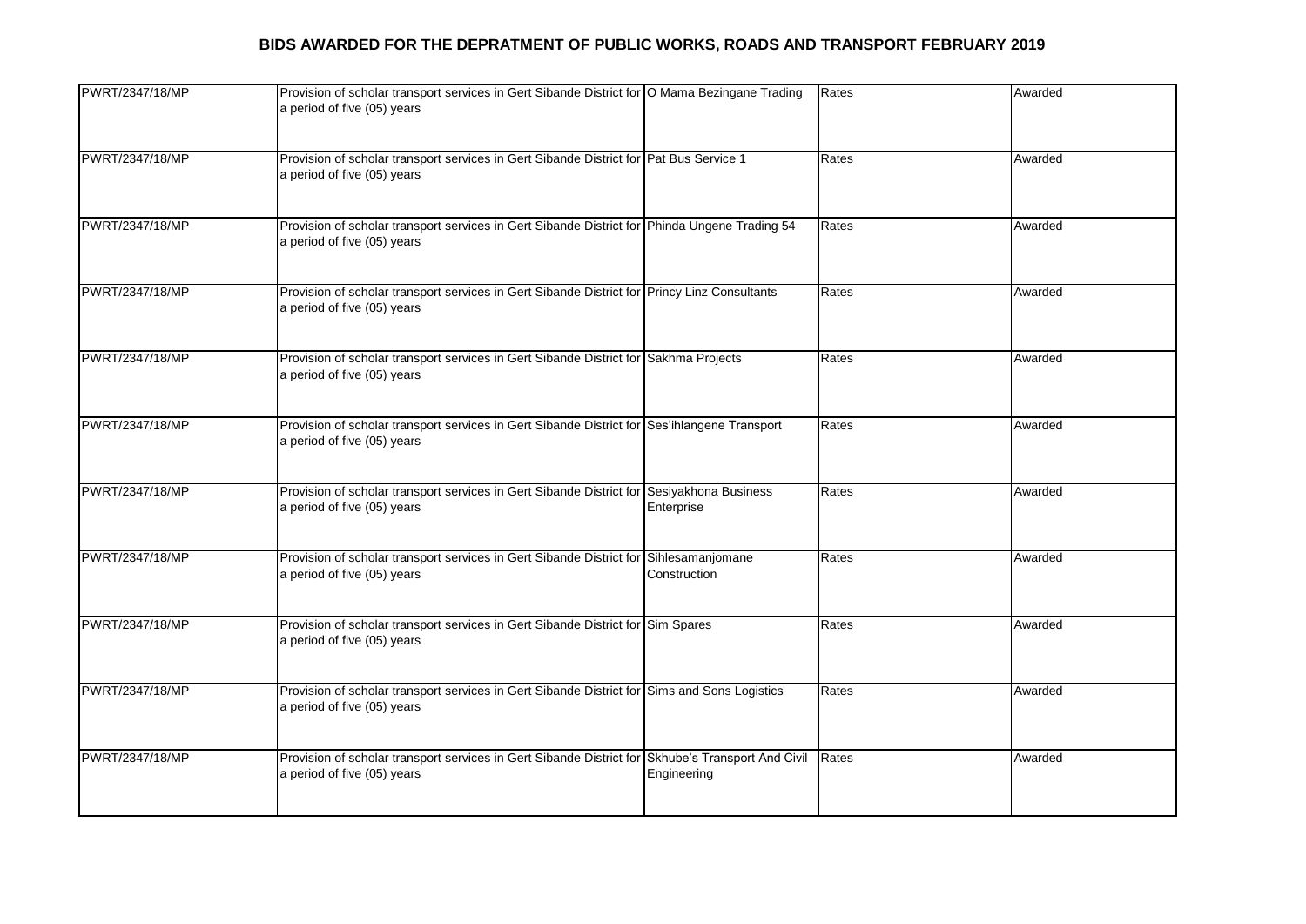| PWRT/2347/18/MP | Provision of scholar transport services in Gert Sibande District for O Mama Bezingane Trading<br>a period of five (05) years     |                                    | Rates | Awarded |
|-----------------|----------------------------------------------------------------------------------------------------------------------------------|------------------------------------|-------|---------|
| PWRT/2347/18/MP | Provision of scholar transport services in Gert Sibande District for Pat Bus Service 1<br>a period of five (05) years            |                                    | Rates | Awarded |
| PWRT/2347/18/MP | Provision of scholar transport services in Gert Sibande District for Phinda Ungene Trading 54<br>a period of five (05) years     |                                    | Rates | Awarded |
| PWRT/2347/18/MP | Provision of scholar transport services in Gert Sibande District for Princy Linz Consultants<br>a period of five (05) years      |                                    | Rates | Awarded |
| PWRT/2347/18/MP | Provision of scholar transport services in Gert Sibande District for Sakhma Projects<br>a period of five (05) years              |                                    | Rates | Awarded |
| PWRT/2347/18/MP | Provision of scholar transport services in Gert Sibande District for Ses'ihlangene Transport<br>a period of five (05) years      |                                    | Rates | Awarded |
| PWRT/2347/18/MP | Provision of scholar transport services in Gert Sibande District for<br>a period of five (05) years                              | Sesiyakhona Business<br>Enterprise | Rates | Awarded |
| PWRT/2347/18/MP | Provision of scholar transport services in Gert Sibande District for<br>a period of five (05) years                              | Sihlesamanjomane<br>Construction   | Rates | Awarded |
| PWRT/2347/18/MP | Provision of scholar transport services in Gert Sibande District for Sim Spares<br>a period of five (05) years                   |                                    | Rates | Awarded |
| PWRT/2347/18/MP | Provision of scholar transport services in Gert Sibande District for Sims and Sons Logistics<br>a period of five (05) years      |                                    | Rates | Awarded |
| PWRT/2347/18/MP | Provision of scholar transport services in Gert Sibande District for Skhube's Transport And Civil<br>a period of five (05) years | Engineering                        | Rates | Awarded |